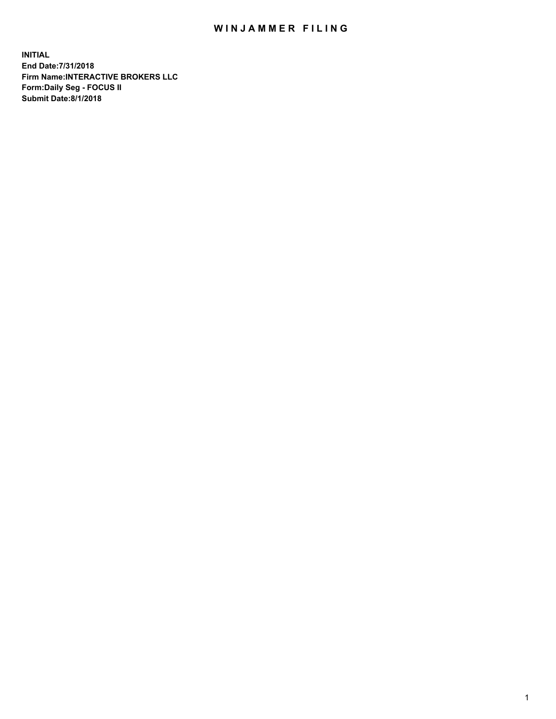## WIN JAMMER FILING

**INITIAL End Date:7/31/2018 Firm Name:INTERACTIVE BROKERS LLC Form:Daily Seg - FOCUS II Submit Date:8/1/2018**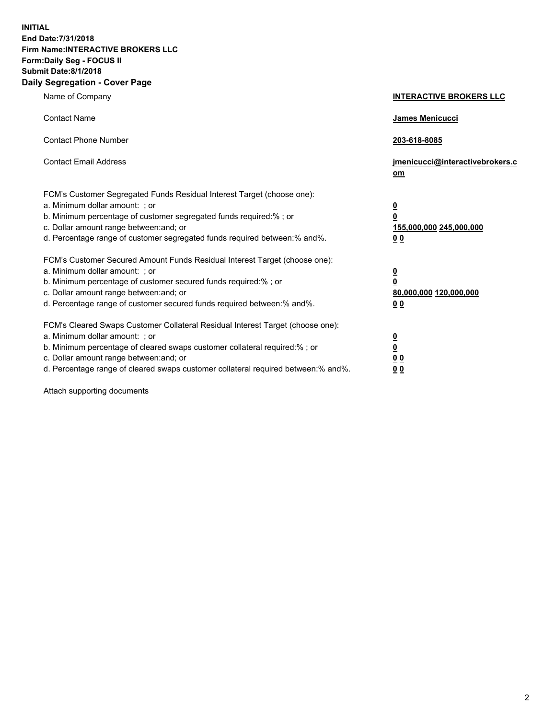**INITIAL End Date:7/31/2018 Firm Name:INTERACTIVE BROKERS LLC Form:Daily Seg - FOCUS II Submit Date:8/1/2018 Daily Segregation - Cover Page**

| Name of Company                                                                                                                                                                                                                                                                                                                | <b>INTERACTIVE BROKERS LLC</b>                                                                  |
|--------------------------------------------------------------------------------------------------------------------------------------------------------------------------------------------------------------------------------------------------------------------------------------------------------------------------------|-------------------------------------------------------------------------------------------------|
| <b>Contact Name</b>                                                                                                                                                                                                                                                                                                            | <b>James Menicucci</b>                                                                          |
| <b>Contact Phone Number</b>                                                                                                                                                                                                                                                                                                    | 203-618-8085                                                                                    |
| <b>Contact Email Address</b>                                                                                                                                                                                                                                                                                                   | jmenicucci@interactivebrokers.c<br>om                                                           |
| FCM's Customer Segregated Funds Residual Interest Target (choose one):<br>a. Minimum dollar amount: ; or<br>b. Minimum percentage of customer segregated funds required:% ; or<br>c. Dollar amount range between: and; or<br>d. Percentage range of customer segregated funds required between:% and%.                         | $\overline{\mathbf{0}}$<br>$\overline{\mathbf{0}}$<br>155,000,000 245,000,000<br>0 <sub>0</sub> |
| FCM's Customer Secured Amount Funds Residual Interest Target (choose one):<br>a. Minimum dollar amount: ; or<br>b. Minimum percentage of customer secured funds required:%; or<br>c. Dollar amount range between: and; or<br>d. Percentage range of customer secured funds required between:% and%.                            | $\overline{\mathbf{0}}$<br>$\mathbf 0$<br>80,000,000 120,000,000<br>0 <sub>0</sub>              |
| FCM's Cleared Swaps Customer Collateral Residual Interest Target (choose one):<br>a. Minimum dollar amount: ; or<br>b. Minimum percentage of cleared swaps customer collateral required:% ; or<br>c. Dollar amount range between: and; or<br>d. Percentage range of cleared swaps customer collateral required between:% and%. | $\overline{\mathbf{0}}$<br>$\underline{\mathbf{0}}$<br>0 <sub>0</sub><br>00                     |

Attach supporting documents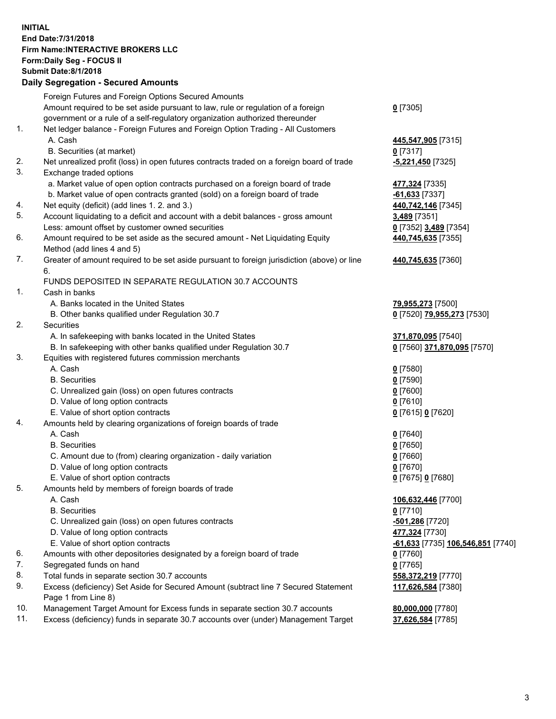## **INITIAL End Date:7/31/2018 Firm Name:INTERACTIVE BROKERS LLC Form:Daily Seg - FOCUS II Submit Date:8/1/2018 Daily Segregation - Secured Amounts**

|     | Daily Jegiegation - Jeculeu Aniounts                                                        |                                   |
|-----|---------------------------------------------------------------------------------------------|-----------------------------------|
|     | Foreign Futures and Foreign Options Secured Amounts                                         |                                   |
|     | Amount required to be set aside pursuant to law, rule or regulation of a foreign            | $0$ [7305]                        |
|     | government or a rule of a self-regulatory organization authorized thereunder                |                                   |
| 1.  | Net ledger balance - Foreign Futures and Foreign Option Trading - All Customers             |                                   |
|     | A. Cash                                                                                     | 445,547,905 [7315]                |
|     | B. Securities (at market)                                                                   | $0$ [7317]                        |
| 2.  | Net unrealized profit (loss) in open futures contracts traded on a foreign board of trade   | $-5,221,450$ [7325]               |
| 3.  | Exchange traded options                                                                     |                                   |
|     | a. Market value of open option contracts purchased on a foreign board of trade              | 477,324 [7335]                    |
|     | b. Market value of open contracts granted (sold) on a foreign board of trade                | $-61,633$ [7337]                  |
| 4.  | Net equity (deficit) (add lines 1.2. and 3.)                                                | 440,742,146 [7345]                |
| 5.  | Account liquidating to a deficit and account with a debit balances - gross amount           | 3,489 [7351]                      |
|     | Less: amount offset by customer owned securities                                            | 0 [7352] 3,489 [7354]             |
| 6.  | Amount required to be set aside as the secured amount - Net Liquidating Equity              | 440,745,635 [7355]                |
|     | Method (add lines 4 and 5)                                                                  |                                   |
| 7.  | Greater of amount required to be set aside pursuant to foreign jurisdiction (above) or line | 440,745,635 [7360]                |
|     | 6.                                                                                          |                                   |
|     | FUNDS DEPOSITED IN SEPARATE REGULATION 30.7 ACCOUNTS                                        |                                   |
| 1.  | Cash in banks                                                                               |                                   |
|     | A. Banks located in the United States                                                       | 79,955,273 [7500]                 |
|     | B. Other banks qualified under Regulation 30.7                                              | 0 [7520] 79,955,273 [7530]        |
| 2.  | Securities                                                                                  |                                   |
|     | A. In safekeeping with banks located in the United States                                   | 371,870,095 [7540]                |
|     | B. In safekeeping with other banks qualified under Regulation 30.7                          | 0 [7560] 371,870,095 [7570]       |
| 3.  | Equities with registered futures commission merchants                                       |                                   |
|     | A. Cash                                                                                     | $0$ [7580]                        |
|     | <b>B.</b> Securities                                                                        | $0$ [7590]                        |
|     | C. Unrealized gain (loss) on open futures contracts                                         | $0$ [7600]                        |
|     | D. Value of long option contracts                                                           | $0$ [7610]                        |
|     | E. Value of short option contracts                                                          | 0 [7615] 0 [7620]                 |
| 4.  | Amounts held by clearing organizations of foreign boards of trade                           |                                   |
|     | A. Cash                                                                                     | $0$ [7640]                        |
|     | <b>B.</b> Securities                                                                        | $0$ [7650]                        |
|     | C. Amount due to (from) clearing organization - daily variation                             | $0$ [7660]                        |
|     | D. Value of long option contracts                                                           | $0$ [7670]                        |
|     | E. Value of short option contracts                                                          | 0 [7675] 0 [7680]                 |
| 5.  | Amounts held by members of foreign boards of trade                                          |                                   |
|     | A. Cash                                                                                     | 106,632,446 [7700]                |
|     | <b>B.</b> Securities                                                                        | $0$ [7710]                        |
|     | C. Unrealized gain (loss) on open futures contracts                                         | -501,286 [7720]                   |
|     | D. Value of long option contracts                                                           | 477,324 [7730]                    |
|     | E. Value of short option contracts                                                          | -61,633 [7735] 106,546,851 [7740] |
| 6.  | Amounts with other depositories designated by a foreign board of trade                      | 0 [7760]                          |
| 7.  | Segregated funds on hand                                                                    | $0$ [7765]                        |
| 8.  | Total funds in separate section 30.7 accounts                                               | 558,372,219 [7770]                |
| 9.  | Excess (deficiency) Set Aside for Secured Amount (subtract line 7 Secured Statement         | 117,626,584 [7380]                |
|     | Page 1 from Line 8)                                                                         |                                   |
| 10. | Management Target Amount for Excess funds in separate section 30.7 accounts                 | 80,000,000 [7780]                 |
| 11. | Excess (deficiency) funds in separate 30.7 accounts over (under) Management Target          | 37,626,584 [7785]                 |
|     |                                                                                             |                                   |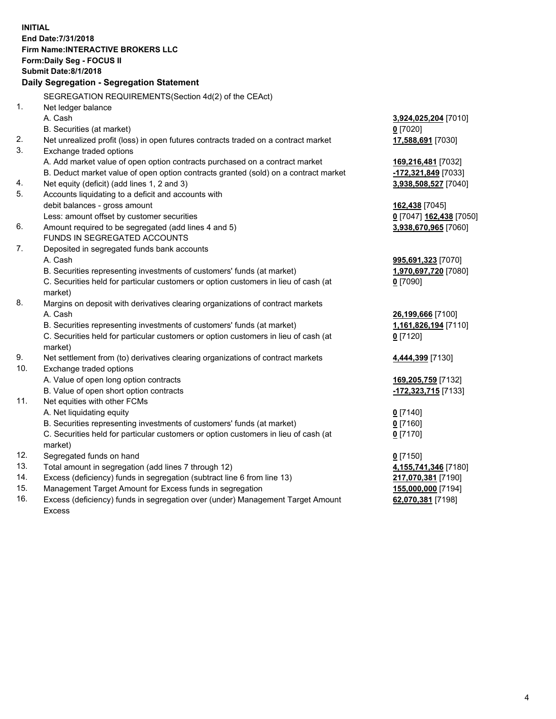**INITIAL End Date:7/31/2018 Firm Name:INTERACTIVE BROKERS LLC Form:Daily Seg - FOCUS II Submit Date:8/1/2018 Daily Segregation - Segregation Statement** SEGREGATION REQUIREMENTS(Section 4d(2) of the CEAct) 1. Net ledger balance A. Cash **3,924,025,204** [7010] B. Securities (at market) **0** [7020] 2. Net unrealized profit (loss) in open futures contracts traded on a contract market **17,588,691** [7030] 3. Exchange traded options A. Add market value of open option contracts purchased on a contract market **169,216,481** [7032] B. Deduct market value of open option contracts granted (sold) on a contract market **-172,321,849** [7033] 4. Net equity (deficit) (add lines 1, 2 and 3) **3,938,508,527** [7040] 5. Accounts liquidating to a deficit and accounts with debit balances - gross amount **162,438** [7045] Less: amount offset by customer securities **0** [7047] **162,438** [7050] 6. Amount required to be segregated (add lines 4 and 5) **3,938,670,965** [7060] FUNDS IN SEGREGATED ACCOUNTS 7. Deposited in segregated funds bank accounts A. Cash **995,691,323** [7070] B. Securities representing investments of customers' funds (at market) **1,970,697,720** [7080] C. Securities held for particular customers or option customers in lieu of cash (at market) **0** [7090] 8. Margins on deposit with derivatives clearing organizations of contract markets A. Cash **26,199,666** [7100] B. Securities representing investments of customers' funds (at market) **1,161,826,194** [7110] C. Securities held for particular customers or option customers in lieu of cash (at market) **0** [7120] 9. Net settlement from (to) derivatives clearing organizations of contract markets **4,444,399** [7130] 10. Exchange traded options A. Value of open long option contracts **169,205,759** [7132] B. Value of open short option contracts **-172,323,715** [7133] 11. Net equities with other FCMs A. Net liquidating equity **0** [7140] B. Securities representing investments of customers' funds (at market) **0** [7160] C. Securities held for particular customers or option customers in lieu of cash (at market) **0** [7170] 12. Segregated funds on hand **0** [7150] 13. Total amount in segregation (add lines 7 through 12) **4,155,741,346** [7180] 14. Excess (deficiency) funds in segregation (subtract line 6 from line 13) **217,070,381** [7190] 15. Management Target Amount for Excess funds in segregation **155,000,000** [7194] **62,070,381** [7198]

16. Excess (deficiency) funds in segregation over (under) Management Target Amount Excess